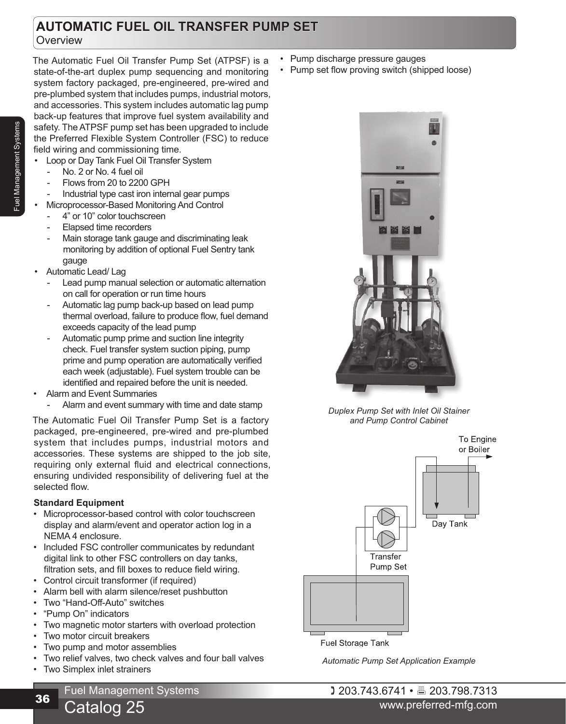# **AUTOMATIC FUEL OIL TRANSFER PUMP SET Overview**

The Automatic Fuel Oil Transfer Pump Set (ATPSF) is a state-of-the-art duplex pump sequencing and monitoring system factory packaged, pre-engineered, pre-wired and pre-plumbed system that includes pumps, industrial motors, and accessories. This system includes automatic lag pump back-up features that improve fuel system availability and safety. The ATPSF pump set has been upgraded to include the Preferred Flexible System Controller (FSC) to reduce field wiring and commissioning time.

- Loop or Day Tank Fuel Oil Transfer System
	- No. 2 or No. 4 fuel oil
	- Flows from 20 to 2200 GPH
- Industrial type cast iron internal gear pumps
- Microprocessor-Based Monitoring And Control
	- 4" or 10" color touchscreen
	- Elapsed time recorders
	- Main storage tank gauge and discriminating leak monitoring by addition of optional Fuel Sentry tank gauge
- Automatic Lead/ Lag
	- Lead pump manual selection or automatic alternation on call for operation or run time hours
	- Automatic lag pump back-up based on lead pump thermal overload, failure to produce flow, fuel demand exceeds capacity of the lead pump
	- Automatic pump prime and suction line integrity check. Fuel transfer system suction piping, pump prime and pump operation are automatically verified each week (adjustable). Fuel system trouble can be identified and repaired before the unit is needed.
- Alarm and Event Summaries
	- Alarm and event summary with time and date stamp

The Automatic Fuel Oil Transfer Pump Set is a factory packaged, pre-engineered, pre-wired and pre-plumbed system that includes pumps, industrial motors and accessories. These systems are shipped to the job site, requiring only external fluid and electrical connections, ensuring undivided responsibility of delivering fuel at the selected flow.

# **Standard Equipment**

- Microprocessor-based control with color touchscreen display and alarm/event and operator action log in a NEMA 4 enclosure.
- Included FSC controller communicates by redundant digital link to other FSC controllers on day tanks, filtration sets, and fill boxes to reduce field wiring.
- Control circuit transformer (if required)
- Alarm bell with alarm silence/reset pushbutton
- Two "Hand-Off-Auto" switches
- "Pump On" indicators
- Two magnetic motor starters with overload protection
- Two motor circuit breakers
- Two pump and motor assemblies

Catalog 25

- Two relief valves, two check valves and four ball valves
- Two Simplex inlet strainers
- Pump discharge pressure gauges
- Pump set flow proving switch (shipped loose)



*Duplex Pump Set with Inlet Oil Stainer and Pump Control Cabinet*



*Automatic Pump Set Application Example*

 203.743.6741 • 203.798.7313 www.preferred-mfg.com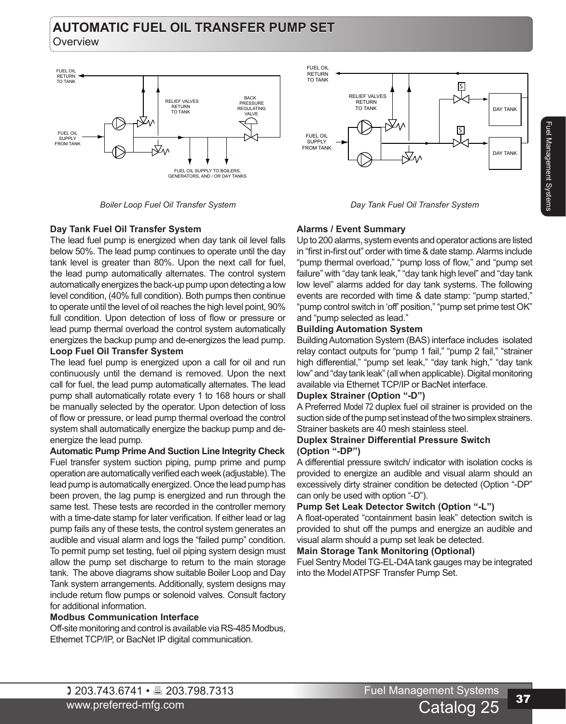# **AUTOMATIC FUEL OIL TRANSFER PUMP SET**

**Overview** 



*Boiler Loop Fuel Oil Transfer System Day Tank Fuel Oil Transfer System*



# **Day Tank Fuel Oil Transfer System**

The lead fuel pump is energized when day tank oil level falls below 50%. The lead pump continues to operate until the day tank level is greater than 80%. Upon the next call for fuel, the lead pump automatically alternates. The control system automatically energizes the back-up pump upon detecting a low level condition, (40% full condition). Both pumps then continue to operate until the level of oil reaches the high level point, 90% full condition. Upon detection of loss of flow or pressure or lead pump thermal overload the control system automatically energizes the backup pump and de-energizes the lead pump.

### **Loop Fuel Oil Transfer System**

The lead fuel pump is energized upon a call for oil and run continuously until the demand is removed. Upon the next call for fuel, the lead pump automatically alternates. The lead pump shall automatically rotate every 1 to 168 hours or shall be manually selected by the operator. Upon detection of loss of flow or pressure, or lead pump thermal overload the control system shall automatically energize the backup pump and deenergize the lead pump.

**Automatic Pump Prime And Suction Line Integrity Check** Fuel transfer system suction piping, pump prime and pump operation are automatically verified each week (adjustable). The lead pump is automatically energized. Once the lead pump has been proven, the lag pump is energized and run through the same test. These tests are recorded in the controller memory with a time-date stamp for later verification. If either lead or lag pump fails any of these tests, the control system generates an audible and visual alarm and logs the "failed pump" condition. To permit pump set testing, fuel oil piping system design must allow the pump set discharge to return to the main storage tank. The above diagrams show suitable Boiler Loop and Day Tank system arrangements. Additionally, system designs may include return flow pumps or solenoid valves. Consult factory for additional information.

### **Modbus Communication Interface**

Off-site monitoring and control is available via RS-485 Modbus, Ethernet TCP/IP, or BacNet IP digital communication.

## **Alarms / Event Summary**

Up to 200 alarms, system events and operator actions are listed in "first in-first out" order with time & date stamp. Alarms include "pump thermal overload," "pump loss of flow," and "pump set failure" with "day tank leak," "day tank high level" and "day tank low level" alarms added for day tank systems. The following events are recorded with time & date stamp: "pump started," "pump control switch in 'off' position," "pump set prime test OK" and "pump selected as lead."

### **Building Automation System**

Building Automation System (BAS) interface includes isolated relay contact outputs for "pump 1 fail," "pump 2 fail," "strainer high differential," "pump set leak," "day tank high," "day tank low" and "day tank leak" (all when applicable). Digital monitoring available via Ethernet TCP/IP or BacNet interface.

### **Duplex Strainer (Option "-D")**

A Preferred Model 72 duplex fuel oil strainer is provided on the suction side of the pump set instead of the two simplex strainers. Strainer baskets are 40 mesh stainless steel.

### **Duplex Strainer Differential Pressure Switch (Option "-DP")**

A differential pressure switch/ indicator with isolation cocks is provided to energize an audible and visual alarm should an excessively dirty strainer condition be detected (Option "-DP" can only be used with option "-D").

### **Pump Set Leak Detector Switch (Option "-L")**

A float-operated "containment basin leak" detection switch is provided to shut off the pumps and energize an audible and visual alarm should a pump set leak be detected.

### **Main Storage Tank Monitoring (Optional)**

Fuel Sentry Model TG-EL-D4A tank gauges may be integrated into the Model ATPSF Transfer Pump Set.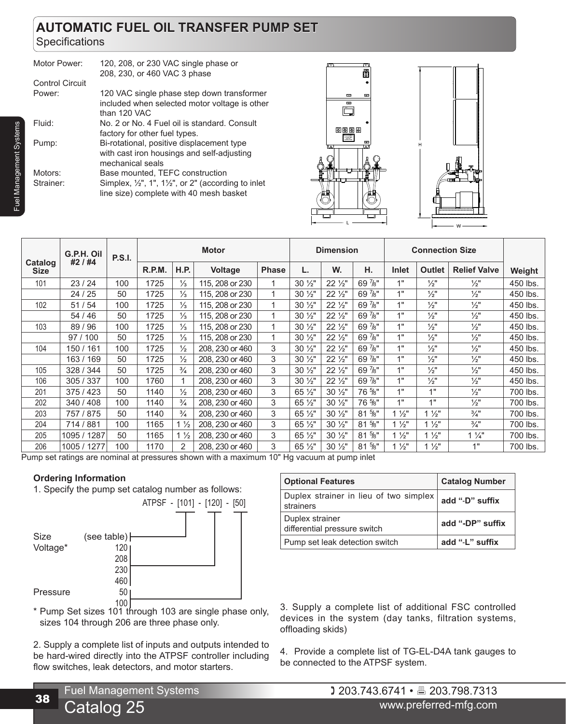# **AUTOMATIC FUEL OIL TRANSFER PUMP SET Specifications**

| 120, 208, or 230 VAC single phase or<br>208, 230, or 460 VAC 3 phase                                                                                   |
|--------------------------------------------------------------------------------------------------------------------------------------------------------|
|                                                                                                                                                        |
| 120 VAC single phase step down transformer<br>included when selected motor voltage is other<br>than 120 VAC                                            |
| No. 2 or No. 4 Fuel oil is standard. Consult<br>factory for other fuel types.                                                                          |
| Bi-rotational, positive displacement type<br>with cast iron housings and self-adjusting<br>mechanical seals                                            |
| Base mounted, TEFC construction<br>Simplex, $\frac{1}{2}$ , 1, 1, $\frac{1}{2}$ , or 2" (according to inlet<br>line size) complete with 40 mesh basket |
|                                                                                                                                                        |





|                        | G.P.H. Oil<br>#2 / #4 | <b>P.S.I.</b> | <b>Motor</b> |                |                 | <b>Dimension</b> |                   |                   | <b>Connection Size</b> |                |                 |                     |          |
|------------------------|-----------------------|---------------|--------------|----------------|-----------------|------------------|-------------------|-------------------|------------------------|----------------|-----------------|---------------------|----------|
| Catalog<br><b>Size</b> |                       |               | R.P.M.       | <b>H.P.</b>    | <b>Voltage</b>  | <b>Phase</b>     | L.                | W.                | н.                     | Inlet          | <b>Outlet</b>   | <b>Relief Valve</b> | Weight   |
| 101                    | 23/24                 | 100           | 1725         | $\frac{1}{3}$  | 115, 208 or 230 |                  | $30\frac{1}{2}$ " | $22\frac{1}{2}$   | 69 7/8"                | 1"             | $\frac{1}{2}$ " | $\frac{1}{2}$ "     | 450 lbs. |
|                        | 24 / 25               | 50            | 1725         | $\frac{1}{3}$  | 115, 208 or 230 | 1                | $30\frac{1}{2}$   | $22\frac{1}{2}$   | 69 7/8"                | 1"             | $\frac{1}{2}$ " | $\frac{1}{2}$ "     | 450 lbs. |
| 102                    | 51 / 54               | 100           | 1725         | $\frac{1}{3}$  | 115, 208 or 230 | 1                | $30\frac{1}{2}$ " | $22\frac{1}{2}$   | 69 7/8"                | 1"             | $\frac{1}{2}$   | $\frac{1}{2}$       | 450 lbs. |
|                        | 54 / 46               | 50            | 1725         | $\frac{1}{3}$  | 115, 208 or 230 | 1                | $30\frac{1}{2}$ " | $22\frac{1}{2}$   | 69 7/8"                | 1"             | $\frac{1}{2}$ " | $\frac{1}{2}$ "     | 450 lbs. |
| 103                    | 89/96                 | 100           | 1725         | $\frac{1}{3}$  | 115, 208 or 230 | 1                | $30\frac{1}{2}$ " | $22\frac{1}{2}$   | 69 7/8"                | 1"             | $\frac{1}{2}$ " | $\frac{1}{2}$ "     | 450 lbs. |
|                        | 97/100                | 50            | 1725         | $\frac{1}{3}$  | 115, 208 or 230 | 1                | $30\frac{1}{2}$   | $22\frac{1}{2}$   | 69 7/8"                | 1"             | $\frac{1}{2}$ " | $\frac{1}{2}$       | 450 lbs. |
| 104                    | 150 / 161             | 100           | 1725         | $\frac{1}{2}$  | 208, 230 or 460 | 3                | $30\frac{1}{2}$ " | $22\frac{1}{2}$   | 69 7/8"                | 1"             | $\frac{1}{2}$ " | $\frac{1}{2}$ "     | 450 lbs. |
|                        | 163 / 169             | 50            | 1725         | $\frac{1}{2}$  | 208, 230 or 460 | 3                | $30\frac{1}{2}$   | $22\frac{1}{2}$   | 69 7/8"                | 1"             | $\frac{1}{2}$ " | $\frac{1}{2}$ "     | 450 lbs. |
| 105                    | 328 / 344             | 50            | 1725         | $\frac{3}{4}$  | 208, 230 or 460 | 3                | $30\frac{1}{2}$ " | $22\frac{1}{2}$   | 69 7/8"                | 1"             | $\frac{1}{2}$ " | $\frac{1}{2}$ "     | 450 lbs. |
| 106                    | 305 / 337             | 100           | 1760         |                | 208, 230 or 460 | 3                | $30\frac{1}{2}$ " | $22\frac{1}{2}$   | 69 7/8"                | 1"             | $\frac{1}{2}$ " | $\frac{1}{2}$ "     | 450 lbs. |
| 201                    | 375/423               | 50            | 1140         | $\frac{1}{2}$  | 208, 230 or 460 | 3                | 65 1/2"           | $30\frac{1}{2}$ " | 76 %"                  | 1"             | 1"              | $\frac{1}{2}$ "     | 700 lbs. |
| 202                    | 340 / 408             | 100           | 1140         | $\frac{3}{4}$  | 208, 230 or 460 | 3                | 65 1/2"           | $30\frac{1}{2}$ " | 76 %"                  | 1"             | 1"              | $\frac{1}{2}$ "     | 700 lbs. |
| 203                    | 757 / 875             | 50            | 1140         | $\frac{3}{4}$  | 208, 230 or 460 | 3                | 65 1/2"           | $30\frac{1}{2}$ " | 81 %"                  | $1\frac{1}{2}$ | $1\frac{1}{2}$  | $\frac{3}{4}$ "     | 700 lbs. |
| 204                    | 714 / 881             | 100           | 1165         | $1\frac{1}{2}$ | 208, 230 or 460 | 3                | 65 1/2"           | $30\frac{1}{2}$ " | 81 %"                  | $1\frac{1}{2}$ | $1\frac{1}{2}$  | $\frac{3}{4}$ "     | 700 lbs. |
| 205                    | 1095 / 1287           | 50            | 1165         | $1\frac{1}{2}$ | 208, 230 or 460 | 3                | 65 1/2"           | $30\frac{1}{2}$ " | 81 %"                  | $1\frac{1}{2}$ | $1\frac{1}{2}$  | $1\frac{1}{4}$      | 700 lbs. |
| 206                    | 1005 / 1277           | 100           | 1170         | $\overline{2}$ | 208, 230 or 460 | 3                | 65 1/2"           | $30\frac{1}{2}$   | 81 %"                  | $1\frac{1}{2}$ | $1\frac{1}{2}$  | 1"                  | 700 lbs. |

Pump set ratings are nominal at pressures shown with a maximum 10" Hg vacuum at pump inlet

# **Ordering Information**

1. Specify the pump set catalog number as follows:



\* Pump Set sizes 101 through 103 are single phase only, sizes 104 through 206 are three phase only.

2. Supply a complete list of inputs and outputs intended to be hard-wired directly into the ATPSF controller including flow switches, leak detectors, and motor starters.

| <b>Optional Features</b>                            | <b>Catalog Number</b> |
|-----------------------------------------------------|-----------------------|
| Duplex strainer in lieu of two simplex<br>strainers | add "-D" suffix       |
| Duplex strainer<br>differential pressure switch     | add "-DP" suffix      |
| Pump set leak detection switch                      | add "-L" suffix       |

3. Supply a complete list of additional FSC controlled devices in the system (day tanks, filtration systems, offloading skids)

4. Provide a complete list of TG-EL-D4A tank gauges to be connected to the ATPSF system.

Fuel Management Systems

Fuel Management Systems

Catalog 25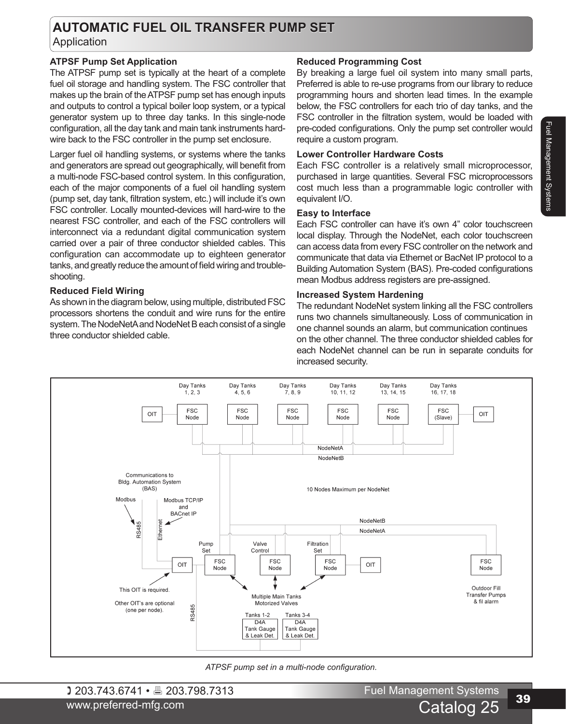# **AUTOMATIC FUEL OIL TRANSFER PUMP SET** Application

# **ATPSF Pump Set Application**

The ATPSF pump set is typically at the heart of a complete fuel oil storage and handling system. The FSC controller that makes up the brain of the ATPSF pump set has enough inputs and outputs to control a typical boiler loop system, or a typical generator system up to three day tanks. In this single-node configuration, all the day tank and main tank instruments hardwire back to the FSC controller in the pump set enclosure.

Larger fuel oil handling systems, or systems where the tanks and generators are spread out geographically, will benefit from a multi-node FSC-based control system. In this configuration, each of the major components of a fuel oil handling system (pump set, day tank, filtration system, etc.) will include it's own FSC controller. Locally mounted-devices will hard-wire to the nearest FSC controller, and each of the FSC controllers will interconnect via a redundant digital communication system carried over a pair of three conductor shielded cables. This configuration can accommodate up to eighteen generator tanks, and greatly reduce the amount of field wiring and troubleshooting.

## **Reduced Field Wiring**

As shown in the diagram below, using multiple, distributed FSC processors shortens the conduit and wire runs for the entire system. The NodeNetA and NodeNet B each consist of a single three conductor shielded cable.

# **Reduced Programming Cost**

By breaking a large fuel oil system into many small parts, Preferred is able to re-use programs from our library to reduce programming hours and shorten lead times. In the example below, the FSC controllers for each trio of day tanks, and the FSC controller in the filtration system, would be loaded with pre-coded configurations. Only the pump set controller would require a custom program.

## **Lower Controller Hardware Costs**

Each FSC controller is a relatively small microprocessor, purchased in large quantities. Several FSC microprocessors cost much less than a programmable logic controller with equivalent I/O.

### **Easy to Interface**

Each FSC controller can have it's own 4" color touchscreen local display. Through the NodeNet, each color touchscreen can access data from every FSC controller on the network and communicate that data via Ethernet or BacNet IP protocol to a Building Automation System (BAS). Pre-coded configurations mean Modbus address registers are pre-assigned.

## **Increased System Hardening**

The redundant NodeNet system linking all the FSC controllers runs two channels simultaneously. Loss of communication in one channel sounds an alarm, but communication continues on the other channel. The three conductor shielded cables for each NodeNet channel can be run in separate conduits for increased security.



*ATPSF pump set in a multi-node configuration.*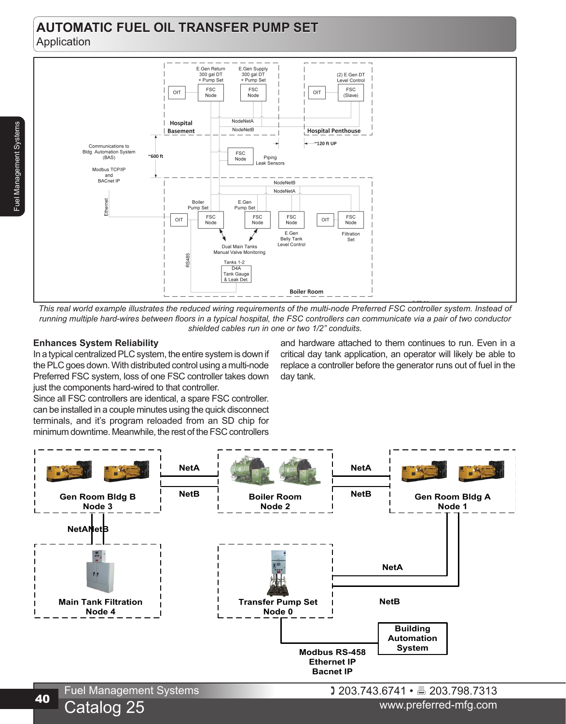# **AUTOMATIC FUEL OIL TRANSFER PUMP SET** Application



*This real world example illustrates the reduced wiring requirements of the multi-node Preferred FSC controller system. Instead of running multiple hard-wires between floors in a typical hospital, the FSC controllers can communicate via a pair of two conductor shielded cables run in one or two 1/2" conduits.*

# **Enhances System Reliability**

Fuel Management Systems

Fuel Management Systems

In a typical centralized PLC system, the entire system is down if the PLC goes down. With distributed control using a multi-node Preferred FSC system, loss of one FSC controller takes down just the components hard-wired to that controller.

and hardware attached to them continues to run. Even in a critical day tank application, an operator will likely be able to replace a controller before the generator runs out of fuel in the day tank.

Since all FSC controllers are identical, a spare FSC controller. can be installed in a couple minutes using the quick disconnect terminals, and it's program reloaded from an SD chip for minimum downtime. Meanwhile, the rest of the FSC controllers



Catalog 25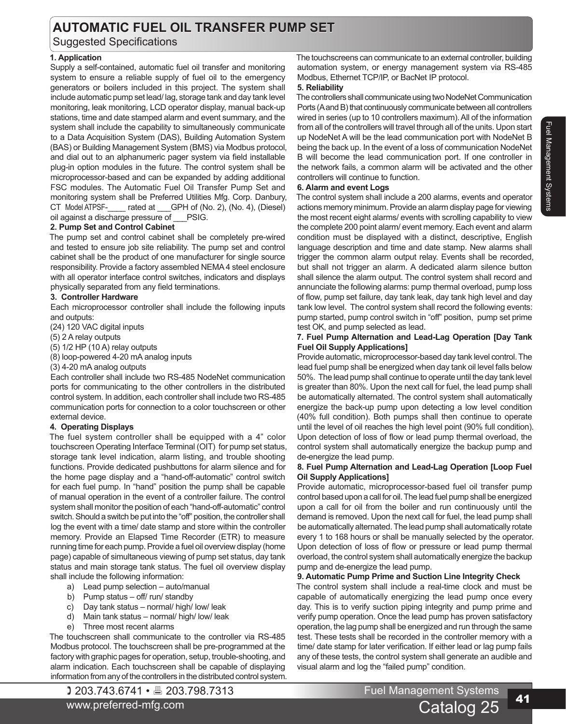# **AUTOMATIC FUEL OIL TRANSFER PUMP SET**

Suggested Specifications

# **1. Application**

Supply a self-contained, automatic fuel oil transfer and monitoring system to ensure a reliable supply of fuel oil to the emergency generators or boilers included in this project. The system shall include automatic pump set lead/ lag, storage tank and day tank level monitoring, leak monitoring, LCD operator display, manual back-up stations, time and date stamped alarm and event summary, and the system shall include the capability to simultaneously communicate to a Data Acquisition System (DAS), Building Automation System (BAS) or Building Management System (BMS) via Modbus protocol, and dial out to an alphanumeric pager system via field installable plug-in option modules in the future. The control system shall be microprocessor-based and can be expanded by adding additional FSC modules. The Automatic Fuel Oil Transfer Pump Set and monitoring system shall be Preferred Utilities Mfg. Corp. Danbury, CT Model ATPSF-\_\_\_\_ rated at \_\_\_GPH of (No. 2), (No. 4), (Diesel) oil against a discharge pressure of \_\_\_PSIG.

# **2. Pump Set and Control Cabinet**

The pump set and control cabinet shall be completely pre-wired and tested to ensure job site reliability. The pump set and control cabinet shall be the product of one manufacturer for single source responsibility. Provide a factory assembled NEMA 4 steel enclosure with all operator interface control switches, indicators and displays physically separated from any field terminations.

# **3. Controller Hardware**

Each microprocessor controller shall include the following inputs and outputs:

(24) 120 VAC digital inputs

(5) 2 A relay outputs

(5) 1/2 HP (10 A) relay outputs

(8) loop-powered 4-20 mA analog inputs

(3) 4-20 mA analog outputs

Each controller shall include two RS-485 NodeNet communication ports for communicating to the other controllers in the distributed control system. In addition, each controller shall include two RS-485 communication ports for connection to a color touchscreen or other external device.

### **4. Operating Displays**

The fuel system controller shall be equipped with a 4" color touchscreen Operating Interface Terminal (OIT) for pump set status, storage tank level indication, alarm listing, and trouble shooting functions. Provide dedicated pushbuttons for alarm silence and for the home page display and a "hand-off-automatic" control switch for each fuel pump. In "hand" position the pump shall be capable of manual operation in the event of a controller failure. The control system shall monitor the position of each "hand-off-automatic" control switch. Should a switch be put into the "off" position, the controller shall log the event with a time/ date stamp and store within the controller memory. Provide an Elapsed Time Recorder (ETR) to measure running time for each pump. Provide a fuel oil overview display (home page) capable of simultaneous viewing of pump set status, day tank status and main storage tank status. The fuel oil overview display shall include the following information:

- a) Lead pump selection auto/manual
- b) Pump status off/ run/ standby
- c) Day tank status normal/ high/ low/ leak
- d) Main tank status normal/ high/ low/ leak
- e) Three most recent alarms

The touchscreen shall communicate to the controller via RS-485 Modbus protocol. The touchscreen shall be pre-programmed at the factory with graphic pages for operation, setup, trouble-shooting, and alarm indication. Each touchscreen shall be capable of displaying information from any of the controllers in the distributed control system.

www.preferred-mfg.com

The touchscreens can communicate to an external controller, building automation system, or energy management system via RS-485 Modbus, Ethernet TCP/IP, or BacNet IP protocol.

### **5. Reliability**

The controllers shall communicate using two NodeNet Communication Ports (A and B) that continuously communicate between all controllers wired in series (up to 10 controllers maximum). All of the information from all of the controllers will travel through all of the units. Upon start up NodeNet A will be the lead communication port with NodeNet B being the back up. In the event of a loss of communication NodeNet B will become the lead communication port. If one controller in the network fails, a common alarm will be activated and the other controllers will continue to function.

### **6. Alarm and event Logs**

The control system shall include a 200 alarms, events and operator actions memory minimum. Provide an alarm display page for viewing the most recent eight alarms/ events with scrolling capability to view the complete 200 point alarm/ event memory. Each event and alarm condition must be displayed with a distinct, descriptive, English language description and time and date stamp. New alarms shall trigger the common alarm output relay. Events shall be recorded, but shall not trigger an alarm. A dedicated alarm silence button shall silence the alarm output. The control system shall record and annunciate the following alarms: pump thermal overload, pump loss of flow, pump set failure, day tank leak, day tank high level and day tank low level. The control system shall record the following events: pump started, pump control switch in "off" position, pump set prime test OK, and pump selected as lead.

### **7. Fuel Pump Alternation and Lead-Lag Operation [Day Tank Fuel Oil Supply Applications]**

Provide automatic, microprocessor-based day tank level control. The lead fuel pump shall be energized when day tank oil level falls below 50%. The lead pump shall continue to operate until the day tank level is greater than 80%. Upon the next call for fuel, the lead pump shall be automatically alternated. The control system shall automatically energize the back-up pump upon detecting a low level condition (40% full condition). Both pumps shall then continue to operate until the level of oil reaches the high level point (90% full condition). Upon detection of loss of flow or lead pump thermal overload, the control system shall automatically energize the backup pump and de-energize the lead pump.

### **8. Fuel Pump Alternation and Lead-Lag Operation [Loop Fuel Oil Supply Applications]**

Provide automatic, microprocessor-based fuel oil transfer pump control based upon a call for oil. The lead fuel pump shall be energized upon a call for oil from the boiler and run continuously until the demand is removed. Upon the next call for fuel, the lead pump shall be automatically alternated. The lead pump shall automatically rotate every 1 to 168 hours or shall be manually selected by the operator. Upon detection of loss of flow or pressure or lead pump thermal overload, the control system shall automatically energize the backup pump and de-energize the lead pump.

### **9. Automatic Pump Prime and Suction Line Integrity Check**

The control system shall include a real-time clock and must be capable of automatically energizing the lead pump once every day. This is to verify suction piping integrity and pump prime and verify pump operation. Once the lead pump has proven satisfactory operation, the lag pump shall be energized and run through the same test. These tests shall be recorded in the controller memory with a time/ date stamp for later verification. If either lead or lag pump fails any of these tests, the control system shall generate an audible and visual alarm and log the "failed pump" condition.